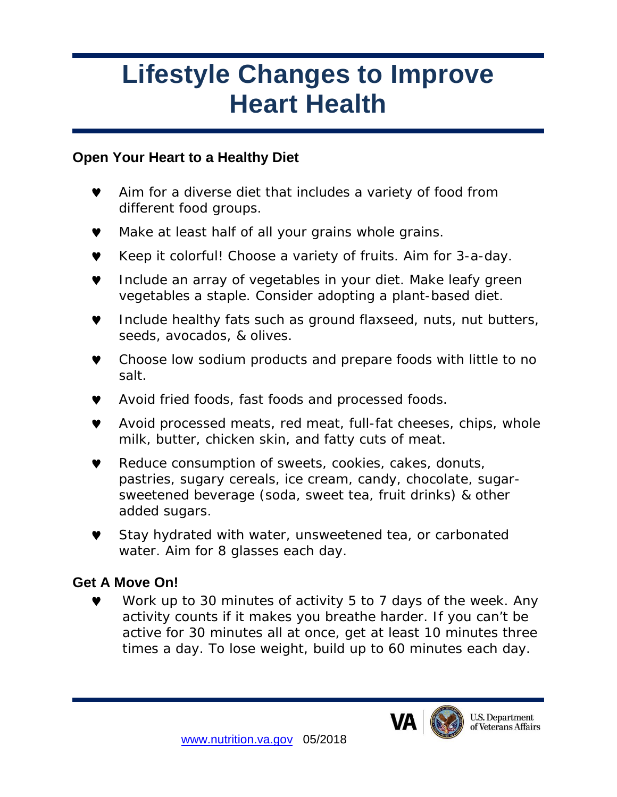# **Lifestyle Changes to Improve Heart Health**

### **Open Your Heart to a Healthy Diet**

- ♥ Aim for a diverse diet that includes a variety of food from different food groups.
- Make at least half of all your grains whole grains.
- ♥ Keep it colorful! Choose a variety of fruits. Aim for 3-a-day.
- Include an array of vegetables in your diet. Make leafy green vegetables a staple. Consider adopting a plant-based diet.
- ♥ Include healthy fats such as ground flaxseed, nuts, nut butters, seeds, avocados, & olives.
- Choose low sodium products and prepare foods with little to no salt.
- ♥ Avoid fried foods, fast foods and processed foods.
- ♥ Avoid processed meats, red meat, full-fat cheeses, chips, whole milk, butter, chicken skin, and fatty cuts of meat.
- ♥ Reduce consumption of sweets, cookies, cakes, donuts, pastries, sugary cereals, ice cream, candy, chocolate, sugarsweetened beverage (soda, sweet tea, fruit drinks) & other added sugars.
- Stay hydrated with water, unsweetened tea, or carbonated water. Aim for 8 glasses each day.

## **Get A Move On!**

♥ Work up to 30 minutes of activity 5 to 7 days of the week. Any activity counts if it makes you breathe harder. If you can't be active for 30 minutes all at once, get at least 10 minutes three times a day. To lose weight, build up to 60 minutes each day.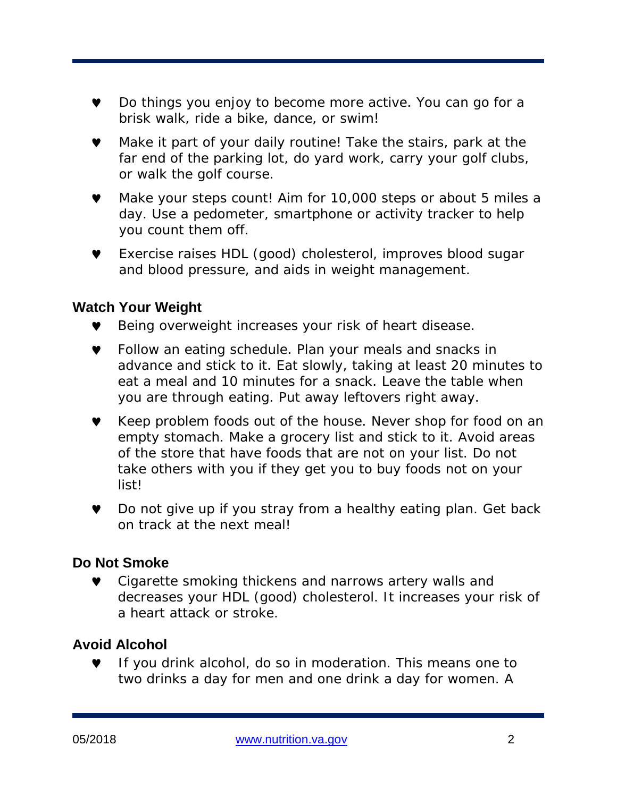- ♥ Do things you enjoy to become more active. You can go for a brisk walk, ride a bike, dance, or swim!
- Make it part of your daily routine! Take the stairs, park at the far end of the parking lot, do yard work, carry your golf clubs, or walk the golf course.
- ♥ Make your steps count! Aim for 10,000 steps or about 5 miles a day. Use a pedometer, smartphone or activity tracker to help you count them off.
- ♥ Exercise raises HDL (good) cholesterol, improves blood sugar and blood pressure, and aids in weight management.

#### **Watch Your Weight**

- ♥ Being overweight increases your risk of heart disease.
- ♥ Follow an eating schedule. Plan your meals and snacks in advance and stick to it. Eat slowly, taking at least 20 minutes to eat a meal and 10 minutes for a snack. Leave the table when you are through eating. Put away leftovers right away.
- ♥ Keep problem foods out of the house. Never shop for food on an empty stomach. Make a grocery list and stick to it. Avoid areas of the store that have foods that are not on your list. Do not take others with you if they get you to buy foods not on your list!
- ♥ Do not give up if you stray from a healthy eating plan. Get back on track at the next meal!

#### **Do Not Smoke**

Cigarette smoking thickens and narrows artery walls and decreases your HDL (good) cholesterol. It increases your risk of a heart attack or stroke.

#### **Avoid Alcohol**

If you drink alcohol, do so in moderation. This means one to two drinks a day for men and one drink a day for women. A